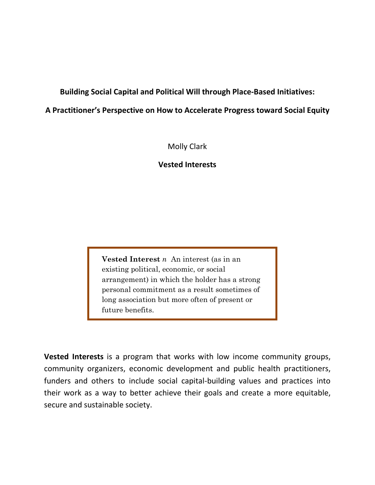**Building Social Capital and Political Will through Place-Based Initiatives:** 

# **A Practitioner's Perspective on How to Accelerate Progress toward Social Equity**

Molly Clark

# **Vested Interests**

**Vested Interest** *n*An interest (as in an existing political, economic, or social arrangement) in which the holder has a strong personal commitment as a result sometimes of long association but more often of present or future benefits.

**Vested Interests** is a program that works with low income community groups, community organizers, economic development and public health practitioners, funders and others to include social capital-building values and practices into their work as a way to better achieve their goals and create a more equitable, secure and sustainable society.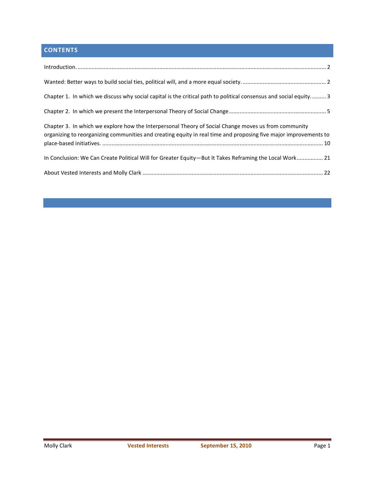# **CONTENTS**

| Chapter 1. In which we discuss why social capital is the critical path to political consensus and social equity 3                                                                                                        |  |
|--------------------------------------------------------------------------------------------------------------------------------------------------------------------------------------------------------------------------|--|
|                                                                                                                                                                                                                          |  |
| Chapter 3. In which we explore how the Interpersonal Theory of Social Change moves us from community<br>organizing to reorganizing communities and creating equity in real time and proposing five major improvements to |  |
| In Conclusion: We Can Create Political Will for Greater Equity-But It Takes Reframing the Local Work 21                                                                                                                  |  |
|                                                                                                                                                                                                                          |  |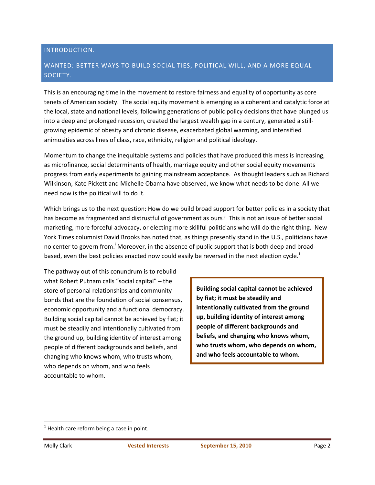#### INTRODUCTION.

#### WANTED: BETTER WAYS TO BUILD SOCIAL TIES, POLITICAL WILL, AND A MORE EQUAL SOCIETY.

This is an encouraging time in the movement to restore fairness and equality of opportunity as core tenets of American society. The social equity movement is emerging as a coherent and catalytic force at the local, state and national levels, following generations of public policy decisions that have plunged us into a deep and prolonged recession, created the largest wealth gap in a century, generated a stillgrowing epidemic of obesity and chronic disease, exacerbated global warming, and intensified animosities across lines of class, race, ethnicity, religion and political ideology.

Momentum to change the inequitable systems and policies that have produced this mess is increasing, as microfinance, social determinants of health, marriage equity and other social equity movements progress from early experiments to gaining mainstream acceptance. As thought leaders such as Richard Wilkinson, Kate Pickett and Michelle Obama have observed, we know what needs to be done: All we need now is the political will to do it.

Which brings us to the next question: How do we build broad support for better policies in a society that has become as fragmented and distrustful of government as ours? This is not an issue of better social marketing, more forceful advocacy, or electing more skillful politicians who will do the right thing. New York Times columnist David Brooks has noted that, as things presently stand in the U.S., politicians have no center to govern from.<sup>i</sup> Moreover, in the absence of public support that is both deep and broadbased, even the best policies enacted now could easily be reversed in the next election cycle.<sup>1</sup>

The pathway out of this conundrum is to rebuild what Robert Putnam calls "social capital" – the store of personal relationships and community bonds that are the foundation of social consensus, economic opportunity and a functional democracy. Building social capital cannot be achieved by fiat; it must be steadily and intentionally cultivated from the ground up, building identity of interest among people of different backgrounds and beliefs, and changing who knows whom, who trusts whom, who depends on whom, and who feels accountable to whom.

**Building social capital cannot be achieved by fiat; it must be steadily and intentionally cultivated from the ground up, building identity of interest among people of different backgrounds and beliefs, and changing who knows whom, who trusts whom, who depends on whom, and who feels accountable to whom.** 

 $1$  Health care reform being a case in point.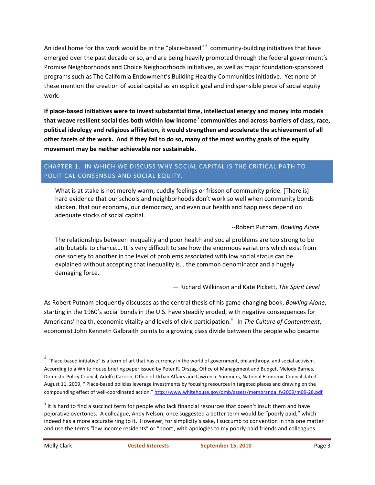An ideal home for this work would be in the "place-based"<sup>2</sup> community-building initiatives that have emerged over the past decade or so, and are being heavily promoted through the federal government's Promise Neighborhoods and Choice Neighborhoods initiatives, as well as major foundation-sponsored programs such as The California Endowment's Building Healthy Communities initiative. Yet none of these mention the creation of social capital as an explicit goal and indispensible piece of social equity work.

**If place-based initiatives were to invest substantial time, intellectual energy and money into models that weave resilient social ties both within low income<sup>3</sup> communities and across barriers of class, race, political ideology and religious affiliation, it would strengthen and accelerate the achievement of all other facets of the work. And if they fail to do so, many of the most worthy goals of the equity movement may be neither achievable nor sustainable.**

## CHAPTER 1. IN WHICH WE DISCUSS WHY SOCIAL CAPITAL IS THE CRITICAL PATH TO POLITICAL CONSENSUS AND SOCIAL EQUITY.

What is at stake is not merely warm, cuddly feelings or frisson of community pride. [There is] hard evidence that our schools and neighborhoods don't work so well when community bonds slacken, that our economy, our democracy, and even our health and happiness depend on adequate stocks of social capital.

--Robert Putnam, *Bowling Alone*

The relationships between inequality and poor health and social problems are too strong to be attributable to chance…. It is very difficult to see how the enormous variations which exist from one society to another in the level of problems associated with low social status can be explained without accepting that inequality is… the common denominator and a hugely damaging force.

— Richard Wilkinson and Kate Pickett, *The Spirit Level*

As Robert Putnam eloquently discusses as the central thesis of his game-changing book, *Bowling Alone*, starting in the 1960's social bonds in the U.S. have steadily eroded, with negative consequences for Americans' health, economic vitality and levels of civic participation.<sup>ii</sup> In *The Culture of Contentment*, economist John Kenneth Galbraith points to a growing class divide between the people who became

 $\frac{2}{3}$  "Place-based initiative" is a term of art that has currency in the world of government, philanthropy, and social activism. According to a White House briefing paper issued by Peter R. Orszag, Office of Management and Budget, Melody Barnes, Domestic Policy Council, Adolfo Carrion, Office of Urban Affairs and Lawrence Summers, National Economic Council dated August 11, 2009, " Place-based policies leverage investments by focusing resources in targeted places and drawing on the compounding effect of well-coordinated action." http://www.whitehouse.gov/omb/assets/memoranda\_fy2009/m09-28.pdf

 $3$  It is hard to find a succinct term for people who lack financial resources that doesn't insult them and have pejorative overtones. A colleague, Andy Nelson, once suggested a better term would be "poorly paid," which indeed has a more accurate ring to it. However, for simplicity's sake, I succumb to convention in this one matter and use the terms "low income residents" or "poor", with apologies to my poorly paid friends and colleagues.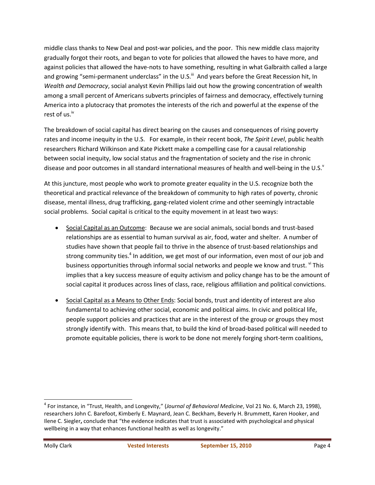middle class thanks to New Deal and post-war policies, and the poor. This new middle class majority gradually forgot their roots, and began to vote for policies that allowed the haves to have more, and against policies that allowed the have-nots to have something, resulting in what Galbraith called a large and growing "semi-permanent underclass" in the U.S.<sup>iii</sup> And years before the Great Recession hit, In *Wealth and Democracy*, social analyst Kevin Phillips laid out how the growing concentration of wealth among a small percent of Americans subverts principles of fairness and democracy, effectively turning America into a plutocracy that promotes the interests of the rich and powerful at the expense of the rest of us.<sup>iv</sup>

The breakdown of social capital has direct bearing on the causes and consequences of rising poverty rates and income inequity in the U.S. For example, in their recent book, *The Spirit Level*, public health researchers Richard Wilkinson and Kate Pickett make a compelling case for a causal relationship between social inequity, low social status and the fragmentation of society and the rise in chronic disease and poor outcomes in all standard international measures of health and well-being in the U.S. $^{\text{v}}$ 

At this juncture, most people who work to promote greater equality in the U.S. recognize both the theoretical and practical relevance of the breakdown of community to high rates of poverty, chronic disease, mental illness, drug trafficking, gang-related violent crime and other seemingly intractable social problems. Social capital is critical to the equity movement in at least two ways:

- Social Capital as an Outcome: Because we are social animals, social bonds and trust-based relationships are as essential to human survival as air, food, water and shelter. A number of studies have shown that people fail to thrive in the absence of trust-based relationships and strong community ties.<sup>4</sup> In addition, we get most of our information, even most of our job and business opportunities through informal social networks and people we know and trust. vi This implies that a key success measure of equity activism and policy change has to be the amount of social capital it produces across lines of class, race, religious affiliation and political convictions.
- Social Capital as a Means to Other Ends: Social bonds, trust and identity of interest are also fundamental to achieving other social, economic and political aims. In civic and political life, people support policies and practices that are in the interest of the group or groups they most strongly identify with. This means that, to build the kind of broad-based political will needed to promote equitable policies, there is work to be done not merely forging short-term coalitions,

<sup>4</sup> For instance, in "Trust, Health, and Longevity," (*Journal of Behavioral Medicine*, Vol 21 No. 6, March 23, 1998), researchers John C. Barefoot, Kimberly E. Maynard, Jean C. Beckham, Beverly H. Brummett, Karen Hooker, and Ilene C. Siegler**,** conclude that "the evidence indicates that trust is associated with psychological and physical wellbeing in a way that enhances functional health as well as longevity."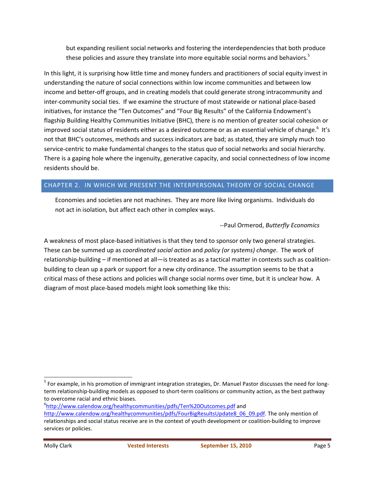but expanding resilient social networks and fostering the interdependencies that both produce these policies and assure they translate into more equitable social norms and behaviors.<sup>5</sup>

In this light, it is surprising how little time and money funders and practitioners of social equity invest in understanding the nature of social connections within low income communities and between low income and better-off groups, and in creating models that could generate strong intracommunity and inter-community social ties. If we examine the structure of most statewide or national place-based initiatives, for instance the "Ten Outcomes" and "Four Big Results" of the California Endowment's flagship Building Healthy Communities Initiative (BHC), there is no mention of greater social cohesion or improved social status of residents either as a desired outcome or as an essential vehicle of change. $^6$  It's not that BHC's outcomes, methods and success indicators are bad; as stated, they are simply much too service-centric to make fundamental changes to the status quo of social networks and social hierarchy. There is a gaping hole where the ingenuity, generative capacity, and social connectedness of low income residents should be.

### CHAPTER 2. IN WHICH WE PRESENT THE INTERPERSONAL THEORY OF SOCIAL CHANGE

Economies and societies are not machines. They are more like living organisms. Individuals do not act in isolation, but affect each other in complex ways.

--Paul Ormerod, *Butterfly Economics*

A weakness of most place-based initiatives is that they tend to sponsor only two general strategies. These can be summed up as *coordinated social action* and *policy (or systems) change*. The work of relationship-building – if mentioned at all—is treated as as a tactical matter in contexts such as coalitionbuilding to clean up a park or support for a new city ordinance. The assumption seems to be that a critical mass of these actions and policies will change social norms over time, but it is unclear how. A diagram of most place-based models might look something like this:

<sup>6</sup>http://www.calendow.org/healthycommunities/pdfs/Ten%20Outcomes.pdf and

<sup>&</sup>lt;sup>5</sup> For example, in his promotion of immigrant integration strategies, Dr. Manuel Pastor discusses the need for longterm relationship-building models as opposed to short-term coalitions or community action, as the best pathway to overcome racial and ethnic biases.

http://www.calendow.org/healthycommunities/pdfs/FourBigResultsUpdate8\_06\_09.pdf. The only mention of relationships and social status receive are in the context of youth development or coalition-building to improve services or policies.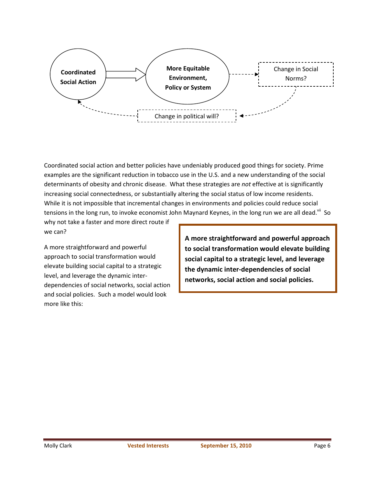

Coordinated social action and better policies have undeniably produced good things for society. Prime examples are the significant reduction in tobacco use in the U.S. and a new understanding of the social determinants of obesity and chronic disease. What these strategies are *not* effective at is significantly increasing social connectedness, or substantially altering the social status of low income residents. While it is not impossible that incremental changes in environments and policies could reduce social tensions in the long run, to invoke economist John Maynard Keynes, in the long run we are all dead.<sup>vii</sup> So

why not take a faster and more direct route if we can?

A more straightforward and powerful approach to social transformation would elevate building social capital to a strategic level, and leverage the dynamic interdependencies of social networks, social action and social policies. Such a model would look more like this:

**A more straightforward and powerful approach to social transformation would elevate building social capital to a strategic level, and leverage the dynamic inter-dependencies of social networks, social action and social policies.**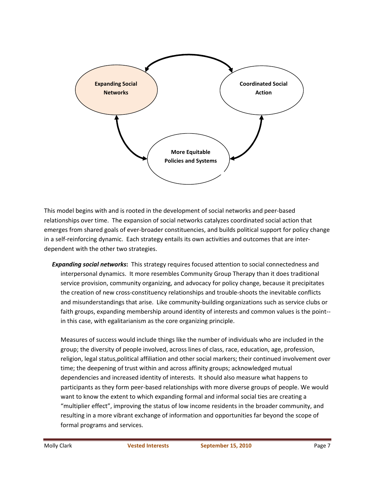

This model begins with and is rooted in the development of social networks and peer-based relationships over time. The expansion of social networks catalyzes coordinated social action that emerges from shared goals of ever-broader constituencies, and builds political support for policy change in a self-reinforcing dynamic. Each strategy entails its own activities and outcomes that are interdependent with the other two strategies.

*Expanding social networks***:** This strategy requires focused attention to social connectedness and interpersonal dynamics. It more resembles Community Group Therapy than it does traditional service provision, community organizing, and advocacy for policy change, because it precipitates the creation of new cross-constituency relationships and trouble-shoots the inevitable conflicts and misunderstandings that arise. Like community-building organizations such as service clubs or faith groups, expanding membership around identity of interests and common values is the point- in this case, with egalitarianism as the core organizing principle.

Measures of success would include things like the number of individuals who are included in the group; the diversity of people involved, across lines of class, race, education, age, profession, religion, legal status,political affiliation and other social markers; their continued involvement over time; the deepening of trust within and across affinity groups; acknowledged mutual dependencies and increased identity of interests. It should also measure what happens to participants as they form peer-based relationships with more diverse groups of people. We would want to know the extent to which expanding formal and informal social ties are creating a "multiplier effect", improving the status of low income residents in the broader community, and resulting in a more vibrant exchange of information and opportunities far beyond the scope of formal programs and services.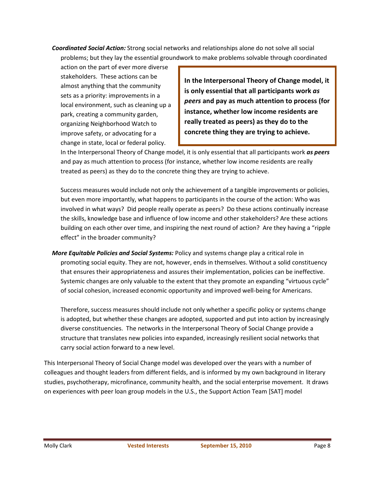*Coordinated Social Action:* Strong social networks and relationships alone do not solve all social problems; but they lay the essential groundwork to make problems solvable through coordinated

action on the part of ever more diverse stakeholders. These actions can be almost anything that the community sets as a priority: improvements in a local environment, such as cleaning up a park, creating a community garden, organizing Neighborhood Watch to improve safety, or advocating for a change in state, local or federal policy.

**In the Interpersonal Theory of Change model, it is only essential that all participants work** *as peers* **and pay as much attention to process (for instance, whether low income residents are really treated as peers) as they do to the concrete thing they are trying to achieve.** 

In the Interpersonal Theory of Change model, it is only essential that all participants work *as peers* and pay as much attention to process (for instance, whether low income residents are really treated as peers) as they do to the concrete thing they are trying to achieve.

Success measures would include not only the achievement of a tangible improvements or policies, but even more importantly, what happens to participants in the course of the action: Who was involved in what ways? Did people really operate as peers? Do these actions continually increase the skills, knowledge base and influence of low income and other stakeholders? Are these actions building on each other over time, and inspiring the next round of action? Are they having a "ripple effect" in the broader community?

*More Equitable Policies and Social Systems:* Policy and systems change play a critical role in promoting social equity. They are not, however, ends in themselves. Without a solid constituency that ensures their appropriateness and assures their implementation, policies can be ineffective. Systemic changes are only valuable to the extent that they promote an expanding "virtuous cycle" of social cohesion, increased economic opportunity and improved well-being for Americans.

Therefore, success measures should include not only whether a specific policy or systems change is adopted, but whether these changes are adopted, supported and put into action by increasingly diverse constituencies. The networks in the Interpersonal Theory of Social Change provide a structure that translates new policies into expanded, increasingly resilient social networks that carry social action forward to a new level.

This Interpersonal Theory of Social Change model was developed over the years with a number of colleagues and thought leaders from different fields, and is informed by my own background in literary studies, psychotherapy, microfinance, community health, and the social enterprise movement. It draws on experiences with peer loan group models in the U.S., the Support Action Team [SAT] model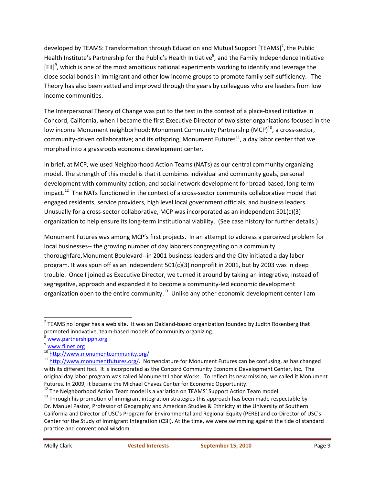developed by TEAMS: Transformation through Education and Mutual Support [TEAMS]<sup>7</sup>, the Public Health Institute's Partnership for the Public's Health Initiative<sup>8</sup>, and the Family Independence Initiative [FII]<sup>9</sup>, which is one of the most ambitious national experiments working to identify and leverage the close social bonds in immigrant and other low income groups to promote family self-sufficiency. The Theory has also been vetted and improved through the years by colleagues who are leaders from low income communities.

The Interpersonal Theory of Change was put to the test in the context of a place-based initiative in Concord, California, when I became the first Executive Director of two sister organizations focused in the low income Monument neighborhood: Monument Community Partnership (MCP) $^{10}$ , a cross-sector, community-driven collaborative; and its offspring, Monument Futures $^{11}$ , a day labor center that we morphed into a grassroots economic development center.

In brief, at MCP, we used Neighborhood Action Teams (NATs) as our central community organizing model. The strength of this model is that it combines individual and community goals, personal development with community action, and social network development for broad-based, long-term impact.<sup>12</sup> The NATs functioned in the context of a cross-sector community collaborative model that engaged residents, service providers, high level local government officials, and business leaders. Unusually for a cross-sector collaborative, MCP was incorporated as an independent 501(c)(3) organization to help ensure its long-term institutional viability. (See case history for further details.)

Monument Futures was among MCP's first projects. In an attempt to address a perceived problem for local businesses-- the growing number of day laborers congregating on a community thoroughfare,Monument Boulevard--in 2001 business leaders and the City initiated a day labor program. It was spun off as an independent 501(c)(3) nonprofit in 2001, but by 2003 was in deep trouble. Once I joined as Executive Director, we turned it around by taking an integrative, instead of segregative, approach and expanded it to become a community-led economic development organization open to the entire community.<sup>13</sup> Unlike any other economic development center I am

<sup>&</sup>lt;sup>7</sup> TEAMS no longer has a web site. It was an Oakland-based organization founded by Judith Rosenberg that promoted innovative, team-based models of community organizing.

www.partnershipph.org

www.fiinet.org

<sup>10</sup> http://www.monumentcommunity.org/

 $11$  http://www.monumentfutures.org/. Nomenclature for Monument Futures can be confusing, as has changed with its different foci. It is incorporated as the Concord Community Economic Development Center, Inc. The original day labor program was called Monument Labor Works. To reflect its new mission, we called it Monument Futures. In 2009, it became the Michael Chavez Center for Economic Opportunity.

<sup>&</sup>lt;sup>12</sup> The Neighborhood Action Team model is a variation on TEAMS' Support Action Team model.

<sup>&</sup>lt;sup>13</sup> Through his promotion of immigrant integration strategies this approach has been made respectable by Dr. Manuel Pastor, Professor of Geography and American Studies & Ethnicity at the University of Southern California and Director of USC's Program for Environmental and Regional Equity (PERE) and co-Director of USC's Center for the Study of Immigrant Integration (CSII). At the time, we were swimming against the tide of standard practice and conventional wisdom.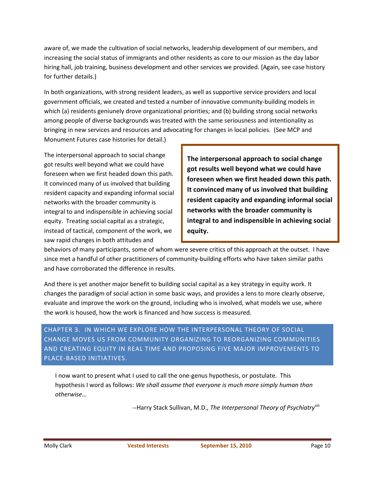aware of, we made the cultivation of social networks, leadership development of our members, and increasing the social status of immigrants and other residents as core to our mission as the day labor hiring hall, job training, business development and other services we provided. [Again, see case history for further details.)

In both organizations, with strong resident leaders, as well as supportive service providers and local government officials, we created and tested a number of innovative community-building models in which (a) residents geniunely drove organizational priorities; and (b) building strong social networks among people of diverse backgrounds was treated with the same seriousness and intentionality as bringing in new services and resources and advocating for changes in local policies. (See MCP and Monument Futures case histories for detail.)

The interpersonal approach to social change got results well beyond what we could have foreseen when we first headed down this path. It convinced many of us involved that building resident capacity and expanding informal social networks with the broader community is integral to and indispensible in achieving social equity. Treating social capital as a strategic, instead of tactical, component of the work, we saw rapid changes in both attitudes and

**The interpersonal approach to social change got results well beyond what we could have foreseen when we first headed down this path. It convinced many of us involved that building resident capacity and expanding informal social networks with the broader community is integral to and indispensible in achieving social equity.** 

behaviors of many participants, some of whom were severe critics of this approach at the outset. I have since met a handful of other practitioners of community-building efforts who have taken similar paths and have corroborated the difference in results.

And there is yet another major benefit to building social capital as a key strategy in equity work. It changes the paradigm of social action in some basic ways, and provides a lens to more clearly observe, evaluate and improve the work on the ground, including who is involved, what models we use, where the work is housed, how the work is financed and how success is measured.

CHAPTER 3. IN WHICH WE EXPLORE HOW THE INTERPERSONAL THEORY OF SOCIAL CHANGE MOVES US FROM COMMUNITY ORGANIZING TO REORGANIZING COMMUNITIES AND CREATING EQUITY IN REAL TIME AND PROPOSING FIVE MAJOR IMPROVEMENTS TO PLACE-BASED INITIATIVES.

I now want to present what I used to call the one-genus hypothesis, or postulate. This hypothesis I word as follows: *We shall assume that everyone is much more simply human than otherwise*…

--Harry Stack Sullivan, M.D., *The Interpersonal Theory of Psychiatry*viii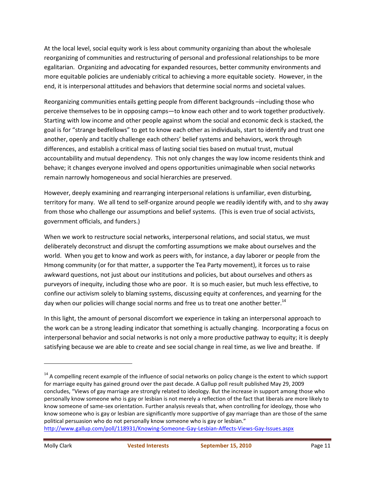At the local level, social equity work is less about community organizing than about the wholesale reorganizing of communities and restructuring of personal and professional relationships to be more egalitarian. Organizing and advocating for expanded resources, better community environments and more equitable policies are undeniably critical to achieving a more equitable society. However, in the end, it is interpersonal attitudes and behaviors that determine social norms and societal values.

Reorganizing communities entails getting people from different backgrounds –including those who perceive themselves to be in opposing camps—to know each other and to work together productively. Starting with low income and other people against whom the social and economic deck is stacked, the goal is for "strange bedfellows" to get to know each other as individuals, start to identify and trust one another, openly and tacitly challenge each others' belief systems and behaviors, work through differences, and establish a critical mass of lasting social ties based on mutual trust, mutual accountability and mutual dependency. This not only changes the way low income residents think and behave; it changes everyone involved and opens opportunities unimaginable when social networks remain narrowly homogeneous and social hierarchies are preserved.

However, deeply examining and rearranging interpersonal relations is unfamiliar, even disturbing, territory for many. We all tend to self-organize around people we readily identify with, and to shy away from those who challenge our assumptions and belief systems. (This is even true of social activists, government officials, and funders.)

When we work to restructure social networks, interpersonal relations, and social status, we must deliberately deconstruct and disrupt the comforting assumptions we make about ourselves and the world. When you get to know and work as peers with, for instance, a day laborer or people from the Hmong community (or for that matter, a supporter the Tea Party movement), it forces us to raise awkward questions, not just about our institutions and policies, but about ourselves and others as purveyors of inequity, including those who are poor. It is so much easier, but much less effective, to confine our activism solely to blaming systems, discussing equity at conferences, and yearning for the day when our policies will change social norms and free us to treat one another better.<sup>14</sup>

In this light, the amount of personal discomfort we experience in taking an interpersonal approach to the work can be a strong leading indicator that something is actually changing. Incorporating a focus on interpersonal behavior and social networks is not only a more productive pathway to equity; it is deeply satisfying because we are able to create and see social change in real time, as we live and breathe. If

 $14$  A compelling recent example of the influence of social networks on policy change is the extent to which support for marriage equity has gained ground over the past decade. A Gallup poll result published May 29, 2009 concludes, "Views of gay marriage are strongly related to ideology. But the increase in support among those who personally know someone who is gay or lesbian is not merely a reflection of the fact that liberals are more likely to know someone of same-sex orientation. Further analysis reveals that, when controlling for ideology, those who know someone who is gay or lesbian are significantly more supportive of gay marriage than are those of the same political persuasion who do not personally know someone who is gay or lesbian."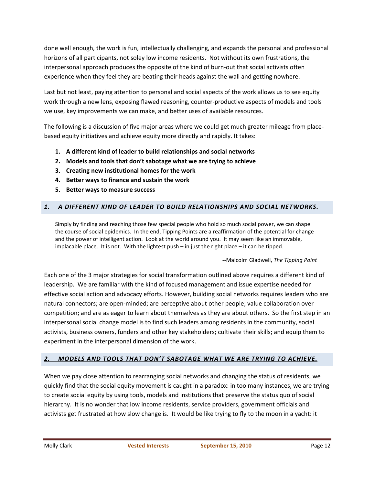done well enough, the work is fun, intellectually challenging, and expands the personal and professional horizons of all participants, not soley low income residents. Not without its own frustrations, the interpersonal approach produces the opposite of the kind of burn-out that social activists often experience when they feel they are beating their heads against the wall and getting nowhere.

Last but not least, paying attention to personal and social aspects of the work allows us to see equity work through a new lens, exposing flawed reasoning, counter-productive aspects of models and tools we use, key improvements we can make, and better uses of available resources.

The following is a discussion of five major areas where we could get much greater mileage from placebased equity initiatives and achieve equity more directly and rapidly. It takes:

- **1. A different kind of leader to build relationships and social networks**
- **2. Models and tools that don't sabotage what we are trying to achieve**
- **3. Creating new institutional homes for the work**
- **4. Better ways to finance and sustain the work**
- **5. Better ways to measure success**

### *1. A DIFFERENT KIND OF LEADER TO BUILD RELATIONSHIPS AND SOCIAL NETWORKS.*

Simply by finding and reaching those few special people who hold so much social power, we can shape the course of social epidemics. In the end, Tipping Points are a reaffirmation of the potential for change and the power of intelligent action. Look at the world around you. It may seem like an immovable, implacable place. It is not. With the lightest push – in just the right place – it can be tipped.

#### --Malcolm Gladwell, *The Tipping Point*

Each one of the 3 major strategies for social transformation outlined above requires a different kind of leadership. We are familiar with the kind of focused management and issue expertise needed for effective social action and advocacy efforts. However, building social networks requires leaders who are natural connectors; are open-minded; are perceptive about other people; value collaboration over competition; and are as eager to learn about themselves as they are about others. So the first step in an interpersonal social change model is to find such leaders among residents in the community, social activists, business owners, funders and other key stakeholders; cultivate their skills; and equip them to experiment in the interpersonal dimension of the work.

### *2. MODELS AND TOOLS THAT DON'T SABOTAGE WHAT WE ARE TRYING TO ACHIEVE.*

When we pay close attention to rearranging social networks and changing the status of residents, we quickly find that the social equity movement is caught in a paradox: in too many instances, we are trying to create social equity by using tools, models and institutions that preserve the status quo of social hierarchy. It is no wonder that low income residents, service providers, government officials and activists get frustrated at how slow change is. It would be like trying to fly to the moon in a yacht: it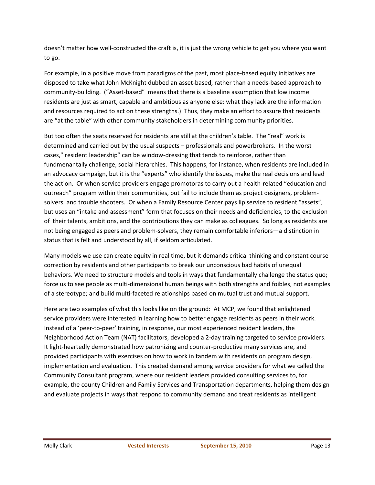doesn't matter how well-constructed the craft is, it is just the wrong vehicle to get you where you want to go.

For example, in a positive move from paradigms of the past, most place-based equity initiatives are disposed to take what John McKnight dubbed an asset-based, rather than a needs-based approach to community-building. ("Asset-based" means that there is a baseline assumption that low income residents are just as smart, capable and ambitious as anyone else: what they lack are the information and resources required to act on these strengths.) Thus, they make an effort to assure that residents are "at the table" with other community stakeholders in determining community priorities.

But too often the seats reserved for residents are still at the children's table. The "real" work is determined and carried out by the usual suspects – professionals and powerbrokers. In the worst cases," resident leadership" can be window-dressing that tends to reinforce, rather than fundmenantally challenge, social hierarchies. This happens, for instance, when residents are included in an advocacy campaign, but it is the "experts" who identify the issues, make the real decisions and lead the action. Or when service providers engage promotoras to carry out a health-related "education and outreach" program within their communities, but fail to include them as project designers, problemsolvers, and trouble shooters. Or when a Family Resource Center pays lip service to resident "assets", but uses an "intake and assessment" form that focuses on their needs and deficiencies, to the exclusion of their talents, ambitions, and the contributions they can make as colleagues. So long as residents are not being engaged as peers and problem-solvers, they remain comfortable inferiors—a distinction in status that is felt and understood by all, if seldom articulated.

Many models we use can create equity in real time, but it demands critical thinking and constant course correction by residents and other participants to break our unconscious bad habits of unequal behaviors. We need to structure models and tools in ways that fundamentally challenge the status quo; force us to see people as multi-dimensional human beings with both strengths and foibles, not examples of a stereotype; and build multi-faceted relationships based on mutual trust and mutual support.

Here are two examples of what this looks like on the ground: At MCP, we found that enlightened service providers were interested in learning how to better engage residents as peers in their work. Instead of a 'peer-to-peer' training, in response, our most experienced resident leaders, the Neighborhood Action Team (NAT) facilitators, developed a 2-day training targeted to service providers. It light-heartedly demonstrated how patronizing and counter-productive many services are, and provided participants with exercises on how to work in tandem with residents on program design, implementation and evaluation. This created demand among service providers for what we called the Community Consultant program, where our resident leaders provided consulting services to, for example, the county Children and Family Services and Transportation departments, helping them design and evaluate projects in ways that respond to community demand and treat residents as intelligent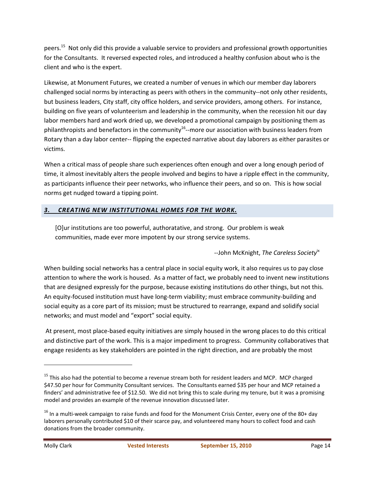peers.<sup>15</sup> Not only did this provide a valuable service to providers and professional growth opportunities for the Consultants. It reversed expected roles, and introduced a healthy confusion about who is the client and who is the expert.

Likewise, at Monument Futures, we created a number of venues in which our member day laborers challenged social norms by interacting as peers with others in the community--not only other residents, but business leaders, City staff, city office holders, and service providers, among others. For instance, building on five years of volunteerism and leadership in the community, when the recession hit our day labor members hard and work dried up, we developed a promotional campaign by positioning them as philanthropists and benefactors in the community<sup>16</sup>--more our association with business leaders from Rotary than a day labor center-- flipping the expected narrative about day laborers as either parasites or victims.

When a critical mass of people share such experiences often enough and over a long enough period of time, it almost inevitably alters the people involved and begins to have a ripple effect in the community, as participants influence their peer networks, who influence their peers, and so on. This is how social norms get nudged toward a tipping point.

### *3. CREATING NEW INSTITUTIONAL HOMES FOR THE WORK.*

[O]ur institutions are too powerful, authoratative, and strong. Our problem is weak communities, made ever more impotent by our strong service systems.

--John McKnight, *The Careless Society*ix

When building social networks has a central place in social equity work, it also requires us to pay close attention to where the work is housed. As a matter of fact, we probably need to invent new institutions that are designed expressly for the purpose, because existing institutions do other things, but not this. An equity-focused institution must have long-term viability; must embrace community-building and social equity as a core part of its mission; must be structured to rearrange, expand and solidify social networks; and must model and "export" social equity.

 At present, most place-based equity initiatives are simply housed in the wrong places to do this critical and distinctive part of the work. This is a major impediment to progress. Community collaboratives that engage residents as key stakeholders are pointed in the right direction, and are probably the most

 $15$  This also had the potential to become a revenue stream both for resident leaders and MCP. MCP charged \$47.50 per hour for Community Consultant services. The Consultants earned \$35 per hour and MCP retained a finders' and administrative fee of \$12.50. We did not bring this to scale during my tenure, but it was a promising model and provides an example of the revenue innovation discussed later.

 $16$  In a multi-week campaign to raise funds and food for the Monument Crisis Center, every one of the 80+ day laborers personally contributed \$10 of their scarce pay, and volunteered many hours to collect food and cash donations from the broader community.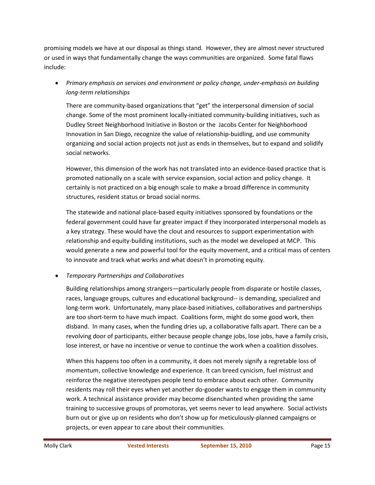promising models we have at our disposal as things stand. However, they are almost never structured or used in ways that fundamentally change the ways communities are organized. Some fatal flaws include:

• *Primary emphasis on services and environment or policy change, under-emphasis on building long-term relationships*

There are community-based organizations that "get" the interpersonal dimension of social change. Some of the most prominent locally-initiated community-building initiatives, such as Dudley Street Neighborhood Initiative in Boston or the Jacobs Center for Neighborhood Innovation in San Diego, recognize the value of relationship-buidling, and use community organizing and social action projects not just as ends in themselves, but to expand and solidify social networks.

However, this dimension of the work has not translated into an evidence-based practice that is promoted nationally on a scale with service expansion, social action and policy change. It certainly is not practiced on a big enough scale to make a broad difference in community structures, resident status or broad social norms.

The statewide and national place-based equity initiatives sponsored by foundations or the federal government could have far greater impact if they incorporated interpersonal models as a key strategy. These would have the clout and resources to support experimentation with relationship and equity-building institutions, such as the model we developed at MCP. This would generate a new and powerful tool for the equity movement, and a critical mass of centers to innovate and track what works and what doesn't in promoting equity.

### • *Temporary Partnerships and Collaboratives*

Building relationships among strangers—particularly people from disparate or hostile classes, races, language groups, cultures and educational background-- is demanding, specialized and long-term work. Unfortunately, many place-based initiatives, collaboratives and partnerships are too short-term to have much impact. Coalitions form, might do some good work, then disband. In many cases, when the funding dries up, a collaborative falls apart. There can be a revolving door of participants, either because people change jobs, lose jobs, have a family crisis, lose interest, or have no incentive or venue to continue the work when a coalition dissolves.

When this happens too often in a community, it does not merely signify a regretable loss of momentum, collective knowledge and experience. It can breed cynicism, fuel mistrust and reinforce the negative stereotypes people tend to embrace about each other. Community residents may roll their eyes when yet another do-gooder wants to engage them in community work. A technical assistance provider may become disenchanted when providing the same training to successive groups of promotoras, yet seems never to lead anywhere. Social activists burn out or give up on residents who don't show up for meticulously-planned campaigns or projects, or even appear to care about their communities.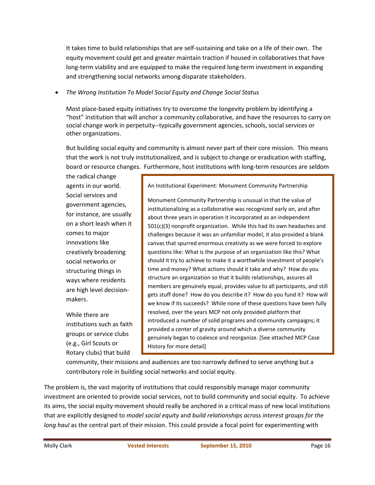It takes time to build relationships that are self-sustaining and take on a life of their own. The equity movement could get and greater maintain traction if housed in collaboratives that have long-term viability and are equipped to make the required long-term investment in expanding and strengthening social networks among disparate stakeholders.

#### • *The Wrong Institution To Model Social Equity and Change Social Status*

Most place-based equity initiatives try to overcome the longevity problem by identifying a "host" institution that will anchor a community collaborative, and have the resources to carry on social change work in perpetuity--typically government agencies, schools, social services or other organizations.

But building social equity and community is almost never part of their core mission. This means that the work is not truly institutionalized, and is subject to change or eradication with staffing, board or resource changes. Furthermore, host institutions with long-term resources are seldom

the radical change agents in our world. Social services and government agencies, for instance, are usually on a short leash when it comes to major innovations like creatively broadening social networks or structuring things in ways where residents are high level decisionmakers.

While there are institutions such as faith groups or service clubs (e.g., Girl Scouts or Rotary clubs) that build

An Institutional Experiment: Monument Community Partnership

Monument Community Partnership is unusual in that the value of institutionalizing as a collaborative was recognized early on, and after about three years in operation it incorporated as an independent 501(c)(3) nonprofit organization. While this had its own headaches and challenges because it was an unfamiliar model, it also provided a blank canvas that spurred enormous creativity as we were forced to explore questions like: What is the purpose of an organization like this? What should it try to achieve to make it a worthwhile investment of people's time and money? What actions should it take and why? How do you structure an organization so that it builds relationships, assures all members are genuinely equal, provides value to all participants, and still gets stuff done? How do you describe it? How do you fund it? How will we know if its succeeds? While none of these questions have been fully resolved, over the years MCP not only provided platform that introduced a number of solid programs and community campaigns; it provided a center of gravity around which a diverse community genuinely began to coalesce and reorganize. [See attached MCP Case History for more detail]

community, their missions and audiences are too narrowly defined to serve anything but a contributory role in building social networks and social equity.

The problem is, the vast majority of institutions that could responsibly manage major community investment are oriented to provide social services, not to build community and social equity. To achieve its aims, the social equity movement should really be anchored in a critical mass of new local institutions that are explicitly designed to *model social equity* and *build relationships across interest groups for the long haul* as the central part of their mission. This could provide a focal point for experimenting with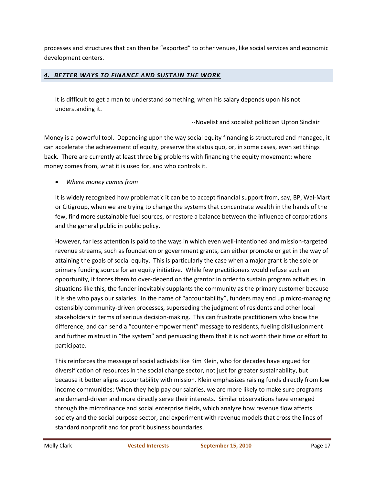processes and structures that can then be "exported" to other venues, like social services and economic development centers.

#### *4. BETTER WAYS TO FINANCE AND SUSTAIN THE WORK*

It is difficult to get a man to understand something, when his salary depends upon his not understanding it.

--Novelist and socialist politician Upton Sinclair

Money is a powerful tool. Depending upon the way social equity financing is structured and managed, it can accelerate the achievement of equity, preserve the status quo, or, in some cases, even set things back. There are currently at least three big problems with financing the equity movement: where money comes from, what it is used for, and who controls it.

• *Where money comes from* 

It is widely recognized how problematic it can be to accept financial support from, say, BP, Wal-Mart or Citigroup, when we are trying to change the systems that concentrate wealth in the hands of the few, find more sustainable fuel sources, or restore a balance between the influence of corporations and the general public in public policy.

However, far less attention is paid to the ways in which even well-intentioned and mission-targeted revenue streams, such as foundation or government grants, can either promote or get in the way of attaining the goals of social equity. This is particularly the case when a major grant is the sole or primary funding source for an equity initiative. While few practitioners would refuse such an opportunity, it forces them to over-depend on the grantor in order to sustain program activities. In situations like this, the funder inevitably supplants the community as the primary customer because it is she who pays our salaries. In the name of "accountability", funders may end up micro-managing ostensibly community-driven processes, superseding the judgment of residents and other local stakeholders in terms of serious decision-making. This can frustrate practitioners who know the difference, and can send a "counter-empowerment" message to residents, fueling disillusionment and further mistrust in "the system" and persuading them that it is not worth their time or effort to participate.

This reinforces the message of social activists like Kim Klein, who for decades have argued for diversification of resources in the social change sector, not just for greater sustainability, but because it better aligns accountability with mission. Klein emphasizes raising funds directly from low income communities: When they help pay our salaries, we are more likely to make sure programs are demand-driven and more directly serve their interests. Similar observations have emerged through the microfinance and social enterprise fields, which analyze how revenue flow affects society and the social purpose sector, and experiment with revenue models that cross the lines of standard nonprofit and for profit business boundaries.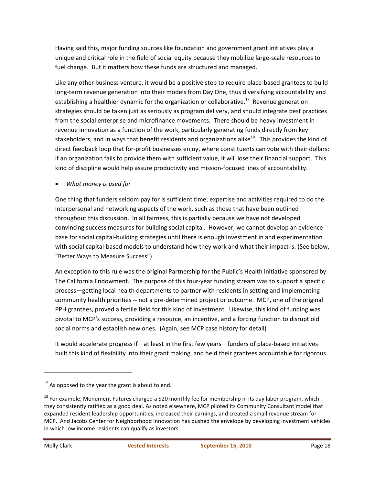Having said this, major funding sources like foundation and government grant initiatives play a unique and critical role in the field of social equity because they mobilize large-scale resources to fuel change. But it matters how these funds are structured and managed.

Like any other business venture, it would be a positive step to require place-based grantees to build long-term revenue generation into their models from Day One, thus diversifying accountability and establishing a healthier dynamic for the organization or collaborative.<sup>17</sup> Revenue generation strategies should be taken just as seriously as program delivery, and should integrate best practices from the social enterprise and microfinance movements. There should be heavy investment in revenue innovation as a function of the work, particularly generating funds directly from key stakeholders, and in ways that benefit residents and organizations alike<sup>18</sup>. This provides the kind of direct feedback loop that for-profit businesses enjoy, where constituents can vote with their dollars: if an organization fails to provide them with sufficient value, it will lose their financial support. This kind of discipline would help assure productivity and mission-focused lines of accountability.

• *What money is used for* 

One thing that funders seldom pay for is sufficient time, expertise and activities required to do the interpersonal and networking aspects of the work, such as those that have been outlined throughout this discussion. In all fairness, this is partially because we have not developed convincing success measures for building social capital. However, we cannot develop an evidence base for social capital-building strategies until there is enough investment in and experimentation with social capital-based models to understand how they work and what their impact is. (See below, "Better Ways to Measure Success")

An exception to this rule was the original Partnership for the Public's Health initiative sponsored by The California Endowment. The purpose of this four-year funding stream was to support a specific process—getting local health departments to partner with residents in setting and implementing community health priorities -- not a pre-determined project or outcome. MCP, one of the original PPH grantees, proved a fertile field for this kind of investment. Likewise, this kind of funding was pivotal to MCP's success, providing a resource, an incentive, and a forcing function to disrupt old social norms and establish new ones. (Again, see MCP case history for detail)

It would accelerate progress if—at least in the first few years—funders of place-based initiatives built this kind of flexibility into their grant making, and held their grantees accountable for rigorous

 $17$  As opposed to the year the grant is about to end.

 $18$  For example, Monument Futures charged a \$20 monthly fee for membership in its day labor program, which they consistently ratified as a good deal. As noted elsewhere, MCP piloted its Community Consultant model that expanded resident leadership opportunities, increased their earnings, and created a small revenue stream for MCP. And Jacobs Center for Neighborhood Innovation has pushed the envelope by developing investment vehicles in which low income residents can qualify as investors.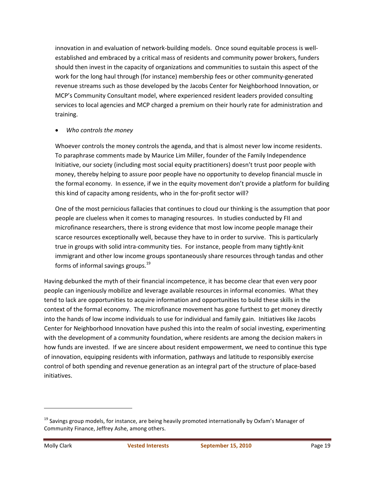innovation in and evaluation of network-building models. Once sound equitable process is wellestablished and embraced by a critical mass of residents and community power brokers, funders should then invest in the capacity of organizations and communities to sustain this aspect of the work for the long haul through (for instance) membership fees or other community-generated revenue streams such as those developed by the Jacobs Center for Neighborhood Innovation, or MCP's Community Consultant model, where experienced resident leaders provided consulting services to local agencies and MCP charged a premium on their hourly rate for administration and training.

#### • *Who controls the money*

Whoever controls the money controls the agenda, and that is almost never low income residents. To paraphrase comments made by Maurice Lim Miller, founder of the Family Independence Initiative, our society (including most social equity practitioners) doesn't trust poor people with money, thereby helping to assure poor people have no opportunity to develop financial muscle in the formal economy. In essence, if we in the equity movement don't provide a platform for building this kind of capacity among residents, who in the for-profit sector will?

One of the most pernicious fallacies that continues to cloud our thinking is the assumption that poor people are clueless when it comes to managing resources. In studies conducted by FII and microfinance researchers, there is strong evidence that most low income people manage their scarce resources exceptionally well, because they have to in order to survive. This is particularly true in groups with solid intra-community ties. For instance, people from many tightly-knit immigrant and other low income groups spontaneously share resources through tandas and other forms of informal savings groups. $^{19}$ 

Having debunked the myth of their financial incompetence, it has become clear that even very poor people can ingeniously mobilize and leverage available resources in informal economies. What they tend to lack are opportunities to acquire information and opportunities to build these skills in the context of the formal economy. The microfinance movement has gone furthest to get money directly into the hands of low income individuals to use for individual and family gain. Initiatives like Jacobs Center for Neighborhood Innovation have pushed this into the realm of social investing, experimenting with the development of a community foundation, where residents are among the decision makers in how funds are invested. If we are sincere about resident empowerment, we need to continue this type of innovation, equipping residents with information, pathways and latitude to responsibly exercise control of both spending and revenue generation as an integral part of the structure of place-based initiatives.

<sup>&</sup>lt;sup>19</sup> Savings group models, for instance, are being heavily promoted internationally by Oxfam's Manager of Community Finance, Jeffrey Ashe, among others.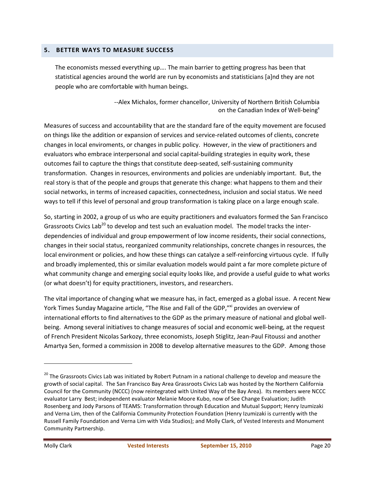#### **5. BETTER WAYS TO MEASURE SUCCESS**

The economists messed everything up…. The main barrier to getting progress has been that statistical agencies around the world are run by economists and statisticians [a]nd they are not people who are comfortable with human beings.

> --Alex Michalos, former chancellor, University of Northern British Columbia on the Canadian Index of Well-being<sup>x</sup>

Measures of success and accountability that are the standard fare of the equity movement are focused on things like the addition or expansion of services and service-related outcomes of clients, concrete changes in local enviroments, or changes in public policy. However, in the view of practitioners and evaluators who embrace interpersonal and social capital-building strategies in equity work, these outcomes fail to capture the things that constitute deep-seated, self-sustaining community transformation. Changes in resources, environments and policies are undeniably important. But, the real story is that of the people and groups that generate this change: what happens to them and their social networks, in terms of increased capacities, connectedness, inclusion and social status. We need ways to tell if this level of personal and group transformation is taking place on a large enough scale.

So, starting in 2002, a group of us who are equity practitioners and evaluators formed the San Francisco Grassroots Civics Lab<sup>20</sup> to develop and test such an evaluation model. The model tracks the interdependencies of individual and group empowerment of low income residents, their social connections, changes in their social status, reorganized community relationships, concrete changes in resources, the local environment or policies, and how these things can catalyze a self-reinforcing virtuous cycle. If fully and broadly implemented, this or similar evaluation models would paint a far more complete picture of what community change and emerging social equity looks like, and provide a useful guide to what works (or what doesn't) for equity practitioners, investors, and researchers.

The vital importance of changing what we measure has, in fact, emerged as a global issue. A recent New York Times Sunday Magazine article, "The Rise and Fall of the GDP,"<sup>xi</sup> provides an overview of international efforts to find alternatives to the GDP as the primary measure of national and global wellbeing. Among several initiatives to change measures of social and economic well-being, at the request of French President Nicolas Sarkozy, three economists, Joseph Stiglitz, Jean-Paul Fitoussi and another Amartya Sen, formed a commission in 2008 to develop alternative measures to the GDP. Among those

<sup>&</sup>lt;sup>20</sup> The Grassroots Civics Lab was initiated by Robert Putnam in a national challenge to develop and measure the growth of social capital. The San Francisco Bay Area Grassroots Civics Lab was hosted by the Northern California Council for the Community (NCCC) (now reintegrated with United Way of the Bay Area). Its members were NCCC evaluator Larry Best; independent evaluator Melanie Moore Kubo, now of See Change Evaluation; Judith Rosenberg and Jody Parsons of TEAMS: Transformation through Education and Mutual Support; Henry Izumizaki and Verna Lim, then of the California Community Protection Foundation (Henry Izumizaki is currently with the Russell Family Foundation and Verna Lim with Vida Studios); and Molly Clark, of Vested Interests and Monument Community Partnership.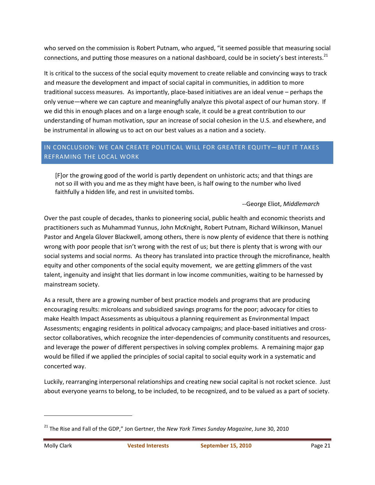who served on the commission is Robert Putnam, who argued, "it seemed possible that measuring social connections, and putting those measures on a national dashboard, could be in society's best interests.<sup>21</sup>

It is critical to the success of the social equity movement to create reliable and convincing ways to track and measure the development and impact of social capital in communities, in addition to more traditional success measures. As importantly, place-based initiatives are an ideal venue – perhaps the only venue—where we can capture and meaningfully analyze this pivotal aspect of our human story. If we did this in enough places and on a large enough scale, it could be a great contribution to our understanding of human motivation, spur an increase of social cohesion in the U.S. and elsewhere, and be instrumental in allowing us to act on our best values as a nation and a society.

### IN CONCLUSION: WE CAN CREATE POLITICAL WILL FOR GREATER EQUITY—BUT IT TAKES REFRAMING THE LOCAL WORK

[F]or the growing good of the world is partly dependent on unhistoric acts; and that things are not so ill with you and me as they might have been, is half owing to the number who lived faithfully a hidden life, and rest in unvisited tombs.

--George Eliot, *Middlemarch*

Over the past couple of decades, thanks to pioneering social, public health and economic theorists and practitioners such as Muhammad Yunnus, John McKnight, Robert Putnam, Richard Wilkinson, Manuel Pastor and Angela Glover Blackwell, among others, there is now plenty of evidence that there is nothing wrong with poor people that isn't wrong with the rest of us; but there is plenty that is wrong with our social systems and social norms. As theory has translated into practice through the microfinance, health equity and other components of the social equity movement, we are getting glimmers of the vast talent, ingenuity and insight that lies dormant in low income communities, waiting to be harnessed by mainstream society.

As a result, there are a growing number of best practice models and programs that are producing encouraging results: microloans and subsidized savings programs for the poor; advocacy for cities to make Health Impact Assessments as ubiquitous a planning requirement as Environmental Impact Assessments; engaging residents in political advocacy campaigns; and place-based initiatives and crosssector collaboratives, which recognize the inter-dependencies of community constituents and resources, and leverage the power of different perspectives in solving complex problems. A remaining major gap would be filled if we applied the principles of social capital to social equity work in a systematic and concerted way.

Luckily, rearranging interpersonal relationships and creating new social capital is not rocket science. Just about everyone yearns to belong, to be included, to be recognized, and to be valued as a part of society.

<sup>21</sup> The Rise and Fall of the GDP," Jon Gertner, the *New York Times Sunday Magazine*, June 30, 2010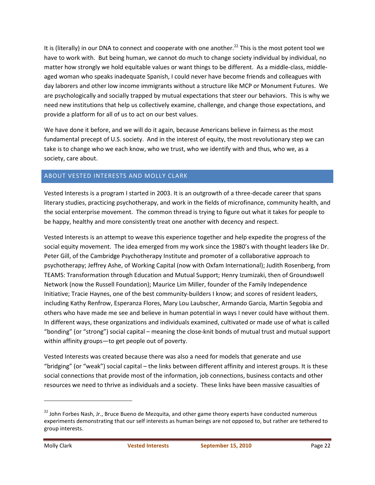It is (literally) in our DNA to connect and cooperate with one another.<sup>22</sup> This is the most potent tool we have to work with. But being human, we cannot do much to change society individual by individual, no matter how strongly we hold equitable values or want things to be different. As a middle-class, middleaged woman who speaks inadequate Spanish, I could never have become friends and colleagues with day laborers and other low income immigrants without a structure like MCP or Monument Futures. We are psychologically and socially trapped by mutual expectations that steer our behaviors. This is why we need new institutions that help us collectively examine, challenge, and change those expectations, and provide a platform for all of us to act on our best values.

We have done it before, and we will do it again, because Americans believe in fairness as the most fundamental precept of U.S. society. And in the interest of equity, the most revolutionary step we can take is to change who we each know, who we trust, who we identify with and thus, who we, as a society, care about.

#### ABOUT VESTED INTERESTS AND MOLLY CLARK

Vested Interests is a program I started in 2003. It is an outgrowth of a three-decade career that spans literary studies, practicing psychotherapy, and work in the fields of microfinance, community health, and the social enterprise movement. The common thread is trying to figure out what it takes for people to be happy, healthy and more consistently treat one another with decency and respect.

Vested Interests is an attempt to weave this experience together and help expedite the progress of the social equity movement. The idea emerged from my work since the 1980's with thought leaders like Dr. Peter Gill, of the Cambridge Psychotherapy Institute and promoter of a collaborative approach to psychotherapy; Jeffrey Ashe, of Working Capital (now with Oxfam International); Judith Rosenberg, from TEAMS: Transformation through Education and Mutual Support; Henry Izumizaki, then of Groundswell Network (now the Russell Foundation); Maurice Lim Miller, founder of the Family Independence Initiative; Tracie Haynes, one of the best community-builders I know; and scores of resident leaders, including Kathy Renfrow, Esperanza Flores, Mary Lou Laubscher, Armando Garcia, Martin Segobia and others who have made me see and believe in human potential in ways I never could have without them. In different ways, these organizations and individuals examined, cultivated or made use of what is called "bonding" (or "strong") social capital – meaning the close-knit bonds of mutual trust and mutual support within affinity groups—to get people out of poverty.

Vested Interests was created because there was also a need for models that generate and use "bridging" (or "weak") social capital – the links between different affinity and interest groups. It is these social connections that provide most of the information, job connections, business contacts and other resources we need to thrive as individuals and a society. These links have been massive casualties of

<sup>&</sup>lt;sup>22</sup> John Forbes Nash, Jr., Bruce Bueno de Mezquita, and other game theory experts have conducted numerous experiments demonstrating that our self interests as human beings are not opposed to, but rather are tethered to group interests.